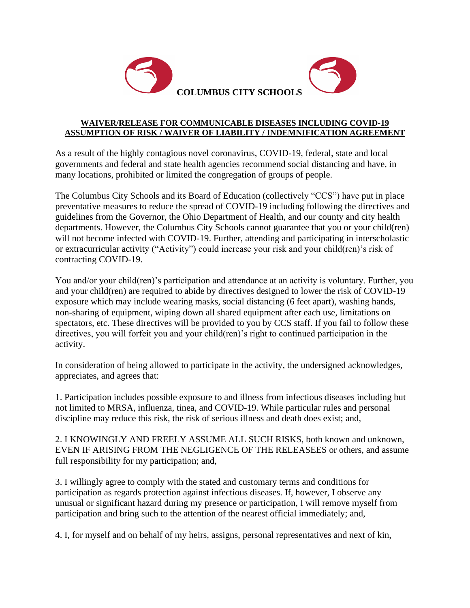

## **WAIVER/RELEASE FOR COMMUNICABLE DISEASES INCLUDING COVID-19 ASSUMPTION OF RISK / WAIVER OF LIABILITY / INDEMNIFICATION AGREEMENT**

As a result of the highly contagious novel coronavirus, COVID-19, federal, state and local governments and federal and state health agencies recommend social distancing and have, in many locations, prohibited or limited the congregation of groups of people.

The Columbus City Schools and its Board of Education (collectively "CCS") have put in place preventative measures to reduce the spread of COVID-19 including following the directives and guidelines from the Governor, the Ohio Department of Health, and our county and city health departments. However, the Columbus City Schools cannot guarantee that you or your child(ren) will not become infected with COVID-19. Further, attending and participating in interscholastic or extracurricular activity ("Activity") could increase your risk and your child(ren)'s risk of contracting COVID-19.

You and/or your child(ren)'s participation and attendance at an activity is voluntary. Further, you and your child(ren) are required to abide by directives designed to lower the risk of COVID-19 exposure which may include wearing masks, social distancing (6 feet apart), washing hands, non-sharing of equipment, wiping down all shared equipment after each use, limitations on spectators, etc. These directives will be provided to you by CCS staff. If you fail to follow these directives, you will forfeit you and your child(ren)'s right to continued participation in the activity.

In consideration of being allowed to participate in the activity, the undersigned acknowledges, appreciates, and agrees that:

1. Participation includes possible exposure to and illness from infectious diseases including but not limited to MRSA, influenza, tinea, and COVID-19. While particular rules and personal discipline may reduce this risk, the risk of serious illness and death does exist; and,

2. I KNOWINGLY AND FREELY ASSUME ALL SUCH RISKS, both known and unknown, EVEN IF ARISING FROM THE NEGLIGENCE OF THE RELEASEES or others, and assume full responsibility for my participation; and,

3. I willingly agree to comply with the stated and customary terms and conditions for participation as regards protection against infectious diseases. If, however, I observe any unusual or significant hazard during my presence or participation, I will remove myself from participation and bring such to the attention of the nearest official immediately; and,

4. I, for myself and on behalf of my heirs, assigns, personal representatives and next of kin,